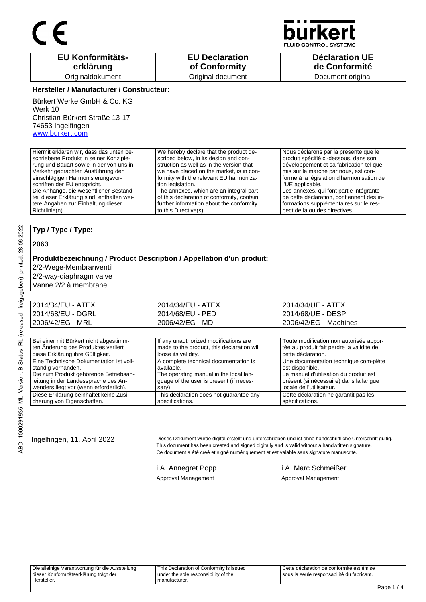

**JID CONTROL SYSTEMS** 

| <b>EU Konformitäts-</b> | <b>EU Declaration</b> | <b>Déclaration UE</b> |
|-------------------------|-----------------------|-----------------------|
| erklärung               | of Conformity         | de Conformité         |
| Originaldokument        | Original document     | Document original     |

#### **Hersteller / Manufacturer / Constructeur:**

Bürkert Werke GmbH & Co. KG Werk 10 Christian-Bürkert-Straße 13-17 74653 Ingelfingen www.burkert.com

teil dieser Erklärung sind, enthalten weitere Angaben zur Einhaltung dieser

Hiermit erklären wir, dass das unten beschriebene Produkt in seiner Konzipierung und Bauart sowie in der von uns in Verkehr gebrachten Ausführung den einschlägigen Harmonisierungsvorschriften der EU entspricht. Die Anhänge, die wesentlicher Bestand-We hereby declare that the product described below, in its design and construction as well as in the version that we have placed on the market, is in conformity with the relevant EU harmonization legislation.

The annexes, which are an integral part of this declaration of conformity, contain further information about the conformity to this Directive(s).

Nous déclarons par la présente que le produit spécifié ci-dessous, dans son développement et sa fabrication tel que mis sur le marché par nous, est conforme à la législation d'harmonisation de l'UE applicable. Les annexes, qui font partie intégrante

de cette déclaration, contiennent des informations supplémentaires sur le respect de la ou des directives.

#### **Typ / Type / Type:**

#### **2063**

### **Produktbezeichnung / Product Description / Appellation d'un produit:**

2/2-Wege-Membranventil

2/2-way-diaphragm valve

Vanne 2/2 à membrane

| 2014/34/EU - ATEX | 2014/34/EU - ATEX | 2014/34/UE - ATEX     |
|-------------------|-------------------|-----------------------|
| 2014/68/EU - DGRL | 2014/68/EU - PED  | 2014/68/UE - DESP     |
| 2006/42/EG - MRL  | 2006/42/EG - MD   | 2006/42/EG - Machines |

| Bei einer mit Bürkert nicht abgestimm-  | If any unauthorized modifications are      | Toute modification non autorisée appor-   |
|-----------------------------------------|--------------------------------------------|-------------------------------------------|
| ten Änderung des Produktes verliert     | made to the product, this declaration will | tée au produit fait perdre la validité de |
| diese Erklärung ihre Gültigkeit.        | loose its validity.                        | cette déclaration.                        |
| Eine Technische Dokumentation ist voll- | A complete technical documentation is      | Une documentation technique com-plète     |
| ständig vorhanden.                      | available.                                 | est disponible.                           |
| Die zum Produkt gehörende Betriebsan-   | The operating manual in the local lan-     | Le manuel d'utilisation du produit est    |
| leitung in der Landessprache des An-    | quage of the user is present (if neces-    | présent (si nécessaire) dans la langue    |
| wenders liegt vor (wenn erforderlich).  | sary).                                     | locale de l'utilisateur.                  |
| Diese Erklärung beinhaltet keine Zusi-  | This declaration does not quarantee any    | Cette déclaration ne garantit pas les     |
| cherung von Eigenschaften.              | specifications.                            | spécifications.                           |

Ingelfingen, 11. April 2022 Dieses Dokument wurde digital erstellt und unterschrieben und ist ohne handschriftliche Unterschrift gültig. This document has been created and signed digitally and is valid without a handwritten signature. Ce document a été créé et signé numériquement et est valable sans signature manuscrite.

Approval Management Approval Management

i.A. Annegret Popp i.A. Marc Schmeißer

Cette déclaration de conformité est émise sous la seule responsabilité du fabricant.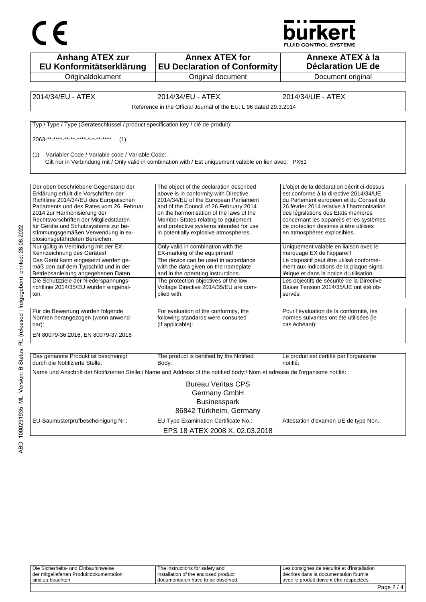



| <b>Anhang ATEX zur</b><br>EU Konformitätserklärung                                                                                                                                                                                                                                                                                                            | <b>Annex ATEX for</b><br><b>EU Declaration of Conformity</b>                                                                                                                                                                                                                                                                              | Annexe ATEX à la<br><b>Déclaration UE de</b>                                                                                                                                                                                                                                                                                            |  |
|---------------------------------------------------------------------------------------------------------------------------------------------------------------------------------------------------------------------------------------------------------------------------------------------------------------------------------------------------------------|-------------------------------------------------------------------------------------------------------------------------------------------------------------------------------------------------------------------------------------------------------------------------------------------------------------------------------------------|-----------------------------------------------------------------------------------------------------------------------------------------------------------------------------------------------------------------------------------------------------------------------------------------------------------------------------------------|--|
| Originaldokument                                                                                                                                                                                                                                                                                                                                              | Original document                                                                                                                                                                                                                                                                                                                         | Document original                                                                                                                                                                                                                                                                                                                       |  |
|                                                                                                                                                                                                                                                                                                                                                               |                                                                                                                                                                                                                                                                                                                                           |                                                                                                                                                                                                                                                                                                                                         |  |
| 2014/34/EU - ATEX                                                                                                                                                                                                                                                                                                                                             | 2014/34/EU - ATEX                                                                                                                                                                                                                                                                                                                         | 2014/34/UE - ATEX                                                                                                                                                                                                                                                                                                                       |  |
|                                                                                                                                                                                                                                                                                                                                                               | Reference in the Official Journal of the EU: L 96 dated 29.3.2014                                                                                                                                                                                                                                                                         |                                                                                                                                                                                                                                                                                                                                         |  |
| Typ / Type / Type (Geräteschlüssel / product specification key / clé de produit):                                                                                                                                                                                                                                                                             |                                                                                                                                                                                                                                                                                                                                           |                                                                                                                                                                                                                                                                                                                                         |  |
| 2063 ** **** ** ** **** * * ** ****<br>(1)                                                                                                                                                                                                                                                                                                                    |                                                                                                                                                                                                                                                                                                                                           |                                                                                                                                                                                                                                                                                                                                         |  |
| Variabler Code / Variable code / Variable Code:<br>(1)                                                                                                                                                                                                                                                                                                        | Gilt nur in Verbindung mit / Only valid in combination with / Est uniquement valable en lien avec: PX51                                                                                                                                                                                                                                   |                                                                                                                                                                                                                                                                                                                                         |  |
| Der oben beschriebene Gegenstand der<br>Erklärung erfüllt die Vorschriften der<br>Richtlinie 2014/34/EU des Europäischen<br>Parlaments und des Rates vom 26. Februar<br>2014 zur Harmonisierung der<br>Rechtsvorschriften der Mitgliedstaaten<br>für Geräte und Schutzsysteme zur be-<br>stimmungsgemäßen Verwendung in ex-<br>plosionsgefährdeten Bereichen. | The object of the declaration described<br>above is in conformity with Directive<br>2014/34/EU of the European Parliament<br>and of the Council of 26 February 2014<br>on the harmonisation of the laws of the<br>Member States relating to equipment<br>and protective systems intended for use<br>in potentially explosive atmospheres. | L'objet de la déclaration décrit ci-dessus<br>est conforme à la directive 2014/34/UE<br>du Parlement européen et du Conseil du<br>26 février 2014 relative à l'harmonisation<br>des législations des États membres<br>concernant les appareils et les systèmes<br>de protection destinés à être utilisés<br>en atmosphères explosibles. |  |
| Nur gültig in Verbindung mit der EX-<br>Kennzeichnung des Gerätes!                                                                                                                                                                                                                                                                                            | Only valid in combination with the<br>EX-marking of the equipment!                                                                                                                                                                                                                                                                        | Uniquement valable en liaison avec le<br>marquage EX de l'appareil!                                                                                                                                                                                                                                                                     |  |
| Das Gerät kann eingesetzt werden ge-<br>mäß den auf dem Typschild und in der<br>Betriebsanleitung angegebenen Daten.                                                                                                                                                                                                                                          | The device can be used in accordance<br>with the data given on the nameplate<br>and in the operating instructions.                                                                                                                                                                                                                        | Le dispositif peut être utilisé conformé-<br>ment aux indications de la plaque signa-<br>létique et dans la notice d'utilisation.                                                                                                                                                                                                       |  |
| Die Schutzziele der Niederspannungs-<br>richtlinie 2014/35/EU wurden eingehal-<br>ten.                                                                                                                                                                                                                                                                        | The protection objectives of the low<br>Voltage Directive 2014/35/EU are com-<br>plied with.                                                                                                                                                                                                                                              | Les objectifs de sécurité de la Directive<br>Basse Tension 2014/35/UE ont été ob-<br>servés.                                                                                                                                                                                                                                            |  |
| Für die Bewertung wurden folgende<br>Normen herangezogen (wenn anwend-<br>bar):<br>EN 80079-36:2016, EN 80079-37:2016                                                                                                                                                                                                                                         | For evaluation of the conformity, the<br>following standards were consulted<br>(if applicable):                                                                                                                                                                                                                                           | Pour l'évaluation de la conformité, les<br>normes suivantes ont été utilisées (le<br>cas échéant):                                                                                                                                                                                                                                      |  |
| Das genannte Produkt ist bescheinigt                                                                                                                                                                                                                                                                                                                          | The product is certified by the Notified                                                                                                                                                                                                                                                                                                  | Le produit est certifié par l'organisme                                                                                                                                                                                                                                                                                                 |  |
| durch die Notifizierte Stelle:                                                                                                                                                                                                                                                                                                                                | Body:                                                                                                                                                                                                                                                                                                                                     | notifié:                                                                                                                                                                                                                                                                                                                                |  |
|                                                                                                                                                                                                                                                                                                                                                               | Name und Anschrift der Notifizierten Stelle:/ Name and Address of the notified body:/ Nom et adresse de l'organisme notifié:                                                                                                                                                                                                              |                                                                                                                                                                                                                                                                                                                                         |  |
|                                                                                                                                                                                                                                                                                                                                                               | <b>Bureau Veritas CPS</b><br>Germany GmbH<br><b>Businesspark</b><br>86842 Türkheim, Germany                                                                                                                                                                                                                                               |                                                                                                                                                                                                                                                                                                                                         |  |
| EU-Baumusterprüfbescheinigung Nr.:                                                                                                                                                                                                                                                                                                                            | EU Type Examination Certificate No.:<br>EPS 18 ATEX 2008 X, 02.03.2018                                                                                                                                                                                                                                                                    | Attestation d'examen UE de type Non.:                                                                                                                                                                                                                                                                                                   |  |

| i sind zu beachten                      | documentation have to be observed.   | I avec le produit doivent être respectées.  |  |
|-----------------------------------------|--------------------------------------|---------------------------------------------|--|
| der mitgelieferten Produktdokumentation | installation of the enclosed product | I décrites dans la documentation fournie    |  |
| Die Sicherheits- und Einbauhinweise     | The instructions for safety and      | Les consignes de sécurité et d'installation |  |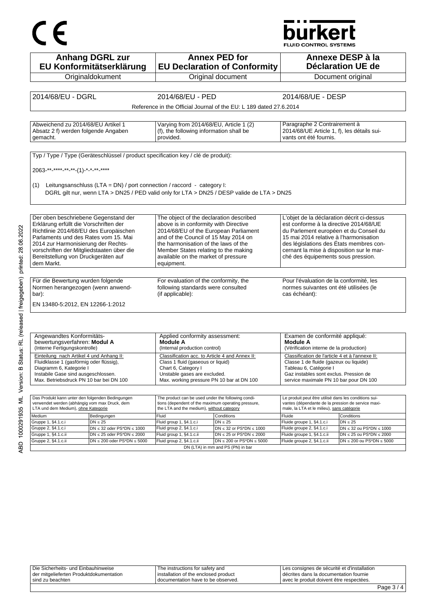# CE

## **burkert**

FLUID CONTROL SYSTEMS

|                                                                                                                                                                                                                                              | <b>Anhang DGRL zur</b><br>EU Konformitätserklärung                                |                                                                                                           | <b>Annex PED for</b><br><b>EU Declaration of Conformity</b>                                |                                                                                                             | Annexe DESP à la<br><b>Déclaration UE de</b>                          |
|----------------------------------------------------------------------------------------------------------------------------------------------------------------------------------------------------------------------------------------------|-----------------------------------------------------------------------------------|-----------------------------------------------------------------------------------------------------------|--------------------------------------------------------------------------------------------|-------------------------------------------------------------------------------------------------------------|-----------------------------------------------------------------------|
|                                                                                                                                                                                                                                              | Originaldokument                                                                  |                                                                                                           | Original document                                                                          |                                                                                                             | Document original                                                     |
|                                                                                                                                                                                                                                              |                                                                                   |                                                                                                           |                                                                                            |                                                                                                             |                                                                       |
| 2014/68/EU - DGRL                                                                                                                                                                                                                            |                                                                                   | 2014/68/EU - PED                                                                                          |                                                                                            | 2014/68/UE - DESP                                                                                           |                                                                       |
|                                                                                                                                                                                                                                              |                                                                                   |                                                                                                           | Reference in the Official Journal of the EU: L 189 dated 27.6.2014                         |                                                                                                             |                                                                       |
|                                                                                                                                                                                                                                              |                                                                                   |                                                                                                           |                                                                                            |                                                                                                             |                                                                       |
| Abweichend zu 2014/68/EU Artikel 1                                                                                                                                                                                                           |                                                                                   | Varying from 2014/68/EU, Article 1 (2)                                                                    |                                                                                            | Paragraphe 2 Contrairement à                                                                                |                                                                       |
| Absatz 2 f) werden folgende Angaben                                                                                                                                                                                                          |                                                                                   | (f), the following information shall be                                                                   |                                                                                            | 2014/68/UE Article 1, f), les détails sui-                                                                  |                                                                       |
| gemacht.                                                                                                                                                                                                                                     |                                                                                   | provided.                                                                                                 |                                                                                            | vants ont été fournis.                                                                                      |                                                                       |
|                                                                                                                                                                                                                                              |                                                                                   |                                                                                                           |                                                                                            |                                                                                                             |                                                                       |
|                                                                                                                                                                                                                                              | Typ / Type / Type (Geräteschlüssel / product specification key / clé de produit): |                                                                                                           |                                                                                            |                                                                                                             |                                                                       |
| 2063-**-****-**-**-(1)-*-*-**-****                                                                                                                                                                                                           |                                                                                   |                                                                                                           |                                                                                            |                                                                                                             |                                                                       |
|                                                                                                                                                                                                                                              |                                                                                   |                                                                                                           |                                                                                            |                                                                                                             |                                                                       |
| (1)                                                                                                                                                                                                                                          | Leitungsanschluss (LTA = DN) / port connection / raccord - category I:            |                                                                                                           |                                                                                            |                                                                                                             |                                                                       |
|                                                                                                                                                                                                                                              |                                                                                   |                                                                                                           | DGRL gilt nur, wenn LTA > DN25 / PED valid only for LTA > DN25 / DESP valide de LTA > DN25 |                                                                                                             |                                                                       |
|                                                                                                                                                                                                                                              |                                                                                   |                                                                                                           |                                                                                            |                                                                                                             |                                                                       |
| Der oben beschriebene Gegenstand der                                                                                                                                                                                                         |                                                                                   | The object of the declaration described                                                                   |                                                                                            | L'objet de la déclaration décrit ci-dessus                                                                  |                                                                       |
| Erklärung erfüllt die Vorschriften der                                                                                                                                                                                                       |                                                                                   | above is in conformity with Directive                                                                     |                                                                                            | est conforme à la directive 2014/68/UE                                                                      |                                                                       |
| Richtlinie 2014/68/EU des Europäischen                                                                                                                                                                                                       |                                                                                   | 2014/68/EU of the European Parliament                                                                     |                                                                                            | du Parlement européen et du Conseil du                                                                      |                                                                       |
| Parlaments und des Rates vom 15. Mai<br>2014 zur Harmonisierung der Rechts-                                                                                                                                                                  |                                                                                   | and of the Council of 15 May 2014 on<br>the harmonisation of the laws of the                              |                                                                                            | 15 mai 2014 relative à l'harmonisation<br>des législations des États membres con-                           |                                                                       |
| vorschriften der Mitgliedstaaten über die                                                                                                                                                                                                    |                                                                                   | Member States relating to the making                                                                      |                                                                                            | cernant la mise à disposition sur le mar-                                                                   |                                                                       |
| Bereitstellung von Druckgeräten auf                                                                                                                                                                                                          |                                                                                   | available on the market of pressure                                                                       |                                                                                            | ché des équipements sous pression.                                                                          |                                                                       |
| dem Markt.                                                                                                                                                                                                                                   |                                                                                   | equipment.                                                                                                |                                                                                            |                                                                                                             |                                                                       |
| Für die Bewertung wurden folgende                                                                                                                                                                                                            |                                                                                   |                                                                                                           |                                                                                            | Pour l'évaluation de la conformité, les                                                                     |                                                                       |
| Normen herangezogen (wenn anwend-                                                                                                                                                                                                            |                                                                                   | For evaluation of the conformity, the<br>following standards were consulted                               |                                                                                            | normes suivantes ont été utilisées (le                                                                      |                                                                       |
| bar):                                                                                                                                                                                                                                        |                                                                                   | (if applicable):                                                                                          |                                                                                            | cas échéant):                                                                                               |                                                                       |
| EN 13480-5:2012, EN 12266-1:2012                                                                                                                                                                                                             |                                                                                   |                                                                                                           |                                                                                            |                                                                                                             |                                                                       |
|                                                                                                                                                                                                                                              |                                                                                   |                                                                                                           |                                                                                            |                                                                                                             |                                                                       |
|                                                                                                                                                                                                                                              |                                                                                   |                                                                                                           |                                                                                            |                                                                                                             |                                                                       |
|                                                                                                                                                                                                                                              |                                                                                   |                                                                                                           |                                                                                            |                                                                                                             |                                                                       |
|                                                                                                                                                                                                                                              |                                                                                   |                                                                                                           |                                                                                            |                                                                                                             |                                                                       |
|                                                                                                                                                                                                                                              |                                                                                   | Applied conformity assessment:<br>Module A                                                                |                                                                                            | Examen de conformité appliqué:<br>Module A                                                                  |                                                                       |
| Angewandtes Konformitäts-<br>bewertungsverfahren: Modul A<br>(Interne Fertigungskontrolle)                                                                                                                                                   |                                                                                   | (Internal production control)                                                                             |                                                                                            | (Vérification interne de la production)                                                                     |                                                                       |
|                                                                                                                                                                                                                                              |                                                                                   | Classification acc. to Article 4 and Annex II:                                                            |                                                                                            | Classification de l'article 4 et à l'annexe II:                                                             |                                                                       |
|                                                                                                                                                                                                                                              |                                                                                   | Class 1 fluid (gaseous or liquid)<br>Chart 6, Category I                                                  |                                                                                            | Classe 1 de fluide (gazeux ou liquide)<br>Tableau 6, Catégorie I                                            |                                                                       |
|                                                                                                                                                                                                                                              |                                                                                   | Unstable gases are excluded.                                                                              |                                                                                            | Gaz instables sont exclus. Pression de                                                                      |                                                                       |
|                                                                                                                                                                                                                                              |                                                                                   | Max. working pressure PN 10 bar at DN 100                                                                 |                                                                                            | service maximale PN 10 bar pour DN 100                                                                      |                                                                       |
| Einteilung nach Artikel 4 und Anhang II:<br>Fluidklasse 1 (gasförmig oder flüssig),<br>Diagramm 6, Kategorie i<br>Instabile Gase sind ausgeschlossen.<br>Max. Betriebsdruck PN 10 bar bei DN 100                                             |                                                                                   |                                                                                                           |                                                                                            |                                                                                                             |                                                                       |
|                                                                                                                                                                                                                                              |                                                                                   | The product can be used under the following condi-<br>tions (dependent of the maximum operating pressure, |                                                                                            | Le produit peut être utilisé dans les conditions sui-<br>vantes (dépendante de la pression de service maxi- |                                                                       |
|                                                                                                                                                                                                                                              |                                                                                   | the LTA and the medium), without category                                                                 |                                                                                            | male, la LTA et le milieu), sans catégorie                                                                  |                                                                       |
|                                                                                                                                                                                                                                              | Bedingungen<br>$DN \leq 25$                                                       | Fluid<br>Fluid group 1, §4.1.c.i                                                                          | Conditions<br>$DN \leq 25$                                                                 | Fluide<br>Fluide groupe 1, §4.1.c.i                                                                         | Conditions<br>$DN \leq 25$                                            |
|                                                                                                                                                                                                                                              | $DN \leq 32$ oder PS*DN $\leq 1000$                                               | Fluid group 2, §4.1.c.i                                                                                   | DN $\leq$ 32 or PS*DN $\leq$ 1000                                                          | Fluide groupe 2, §4.1.c.i                                                                                   | $DN \leq 32$ ou PS*DN $\leq 1000$                                     |
| Das Produkt kann unter den folgenden Bedingungen<br>verwendet werden (abhängig vom max Druck, dem<br>LTA und dem Medium), ohne Kategorie<br>Medium<br>Gruppe 1, §4.1.c.i<br>Gruppe 2, §4.1.c.i<br>Gruppe 1, §4.1.c.ii<br>Gruppe 2, §4.1.c.ii | $DN \le 25$ oder PS*DN $\le 2000$<br>$DN \le 200$ oder PS*DN $\le 5000$           | Fluid group 1, §4.1.c.ii<br>Fluid group 2, §4.1.c.ii                                                      | $DN \leq 25$ or $PS^*DN \leq 2000$<br>$DN \le 200$ or PS*DN $\le 5000$                     | Fluide groupe 1, §4.1.c.ii<br>Fluide groupe 2, §4.1.c.ii                                                    | $DN \le 25$ ou PS*DN $\le 2000$<br>DN $\leq$ 200 ou PS*DN $\leq$ 5000 |

ABD 1000291935 ML Version: B Status: RL (released | freigegeben) printed: 28.06.2022